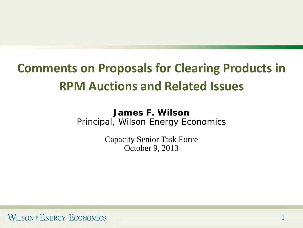# **Comments on Proposals for Clearing Products in RPM Auctions and Related Issues**

**James F. Wilson** Principal, Wilson Energy Economics

> Capacity Senior Task Force October 9, 2013

> > 1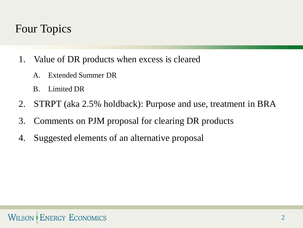# Four Topics

- 1. Value of DR products when excess is cleared
	- A. Extended Summer DR
	- B. Limited DR
- 2. STRPT (aka 2.5% holdback): Purpose and use, treatment in BRA
- 3. Comments on PJM proposal for clearing DR products
- 4. Suggested elements of an alternative proposal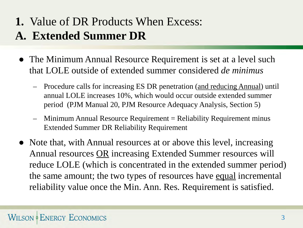# **1.** Value of DR Products When Excess: **A. Extended Summer DR**

- The Minimum Annual Resource Requirement is set at a level such that LOLE outside of extended summer considered *de minimus*
	- Procedure calls for increasing ES DR penetration (and reducing Annual) until annual LOLE increases 10%, which would occur outside extended summer period (PJM Manual 20, PJM Resource Adequacy Analysis, Section 5)
	- $Minimum Annual Resource Required$  Requirement = Reliability Requirement minus Extended Summer DR Reliability Requirement
- Note that, with Annual resources at or above this level, increasing Annual resources **OR** increasing Extended Summer resources will reduce LOLE (which is concentrated in the extended summer period) the same amount; the two types of resources have equal incremental reliability value once the Min. Ann. Res. Requirement is satisfied.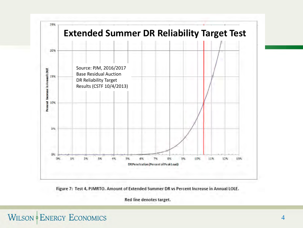

Figure 7: Test 4, PJMRTO. Amount of Extended Summer DR vs Percent Increase in Annual LOLE.

Red line denotes target.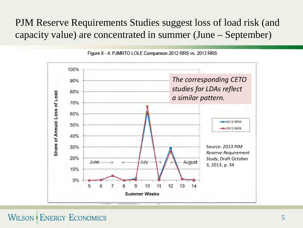#### PJM Reserve Requirements Studies suggest loss of load risk (and capacity value) are concentrated in summer (June – September)



Figure II - 4: PJMRTO LOLE Comparison 2012 RRS vs. 2013 RRS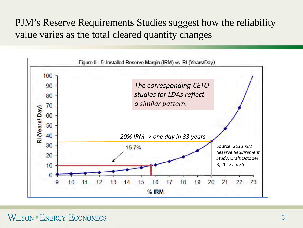PJM's Reserve Requirements Studies suggest how the reliability value varies as the total cleared quantity changes

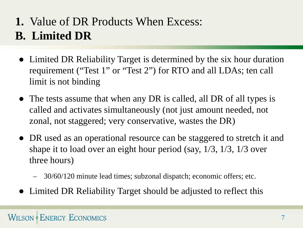# **1.** Value of DR Products When Excess: **B. Limited DR**

- Limited DR Reliability Target is determined by the six hour duration requirement ("Test 1" or "Test 2") for RTO and all LDAs; ten call limit is not binding
- The tests assume that when any DR is called, all DR of all types is called and activates simultaneously (not just amount needed, not zonal, not staggered; very conservative, wastes the DR)
- DR used as an operational resource can be staggered to stretch it and shape it to load over an eight hour period (say, 1/3, 1/3, 1/3 over three hours)
	- 30/60/120 minute lead times; subzonal dispatch; economic offers; etc.
- Limited DR Reliability Target should be adjusted to reflect this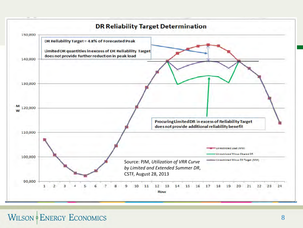#### **DR Reliability Target Determination**

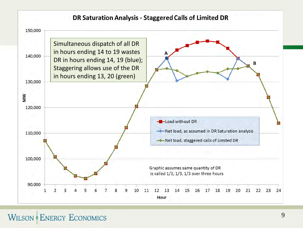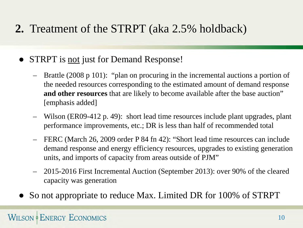# **2.** Treatment of the STRPT (aka 2.5% holdback)

- STRPT is not just for Demand Response!
	- Brattle (2008 p 101): "plan on procuring in the incremental auctions a portion of the needed resources corresponding to the estimated amount of demand response **and other resources** that are likely to become available after the base auction" [emphasis added]
	- Wilson (ER09-412 p. 49): short lead time resources include plant upgrades, plant performance improvements, etc.; DR is less than half of recommended total
	- FERC (March 26, 2009 order P 84 fn 42): "Short lead time resources can include demand response and energy efficiency resources, upgrades to existing generation units, and imports of capacity from areas outside of PJM"
	- 2015-2016 First Incremental Auction (September 2013): over 90% of the cleared capacity was generation
- So not appropriate to reduce Max. Limited DR for 100% of STRPT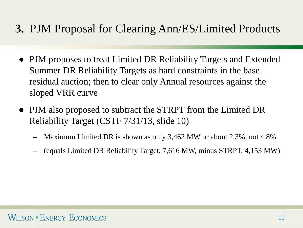# **3.** PJM Proposal for Clearing Ann/ES/Limited Products

- PJM proposes to treat Limited DR Reliability Targets and Extended Summer DR Reliability Targets as hard constraints in the base residual auction; then to clear only Annual resources against the sloped VRR curve
- PJM also proposed to subtract the STRPT from the Limited DR Reliability Target (CSTF 7/31/13, slide 10)
	- Maximum Limited DR is shown as only 3,462 MW or about 2.3%, not 4.8%
	- (equals Limited DR Reliability Target, 7,616 MW, minus STRPT, 4,153 MW)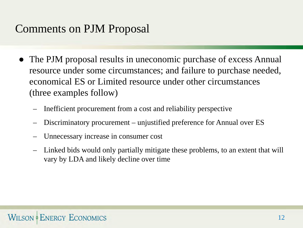# Comments on PJM Proposal

- The PJM proposal results in uneconomic purchase of excess Annual resource under some circumstances; and failure to purchase needed, economical ES or Limited resource under other circumstances (three examples follow)
	- Inefficient procurement from a cost and reliability perspective
	- Discriminatory procurement unjustified preference for Annual over ES
	- Unnecessary increase in consumer cost
	- Linked bids would only partially mitigate these problems, to an extent that will vary by LDA and likely decline over time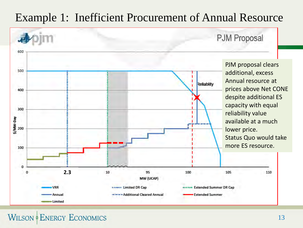# Example 1: Inefficient Procurement of Annual Resource

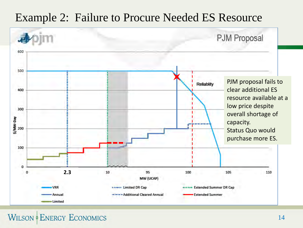### Example 2: Failure to Procure Needed ES Resource



**WILSON & ENERGY ECONOMICS**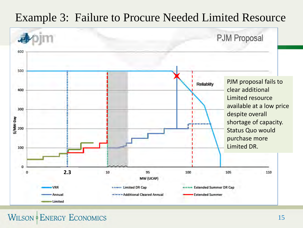## Example 3: Failure to Procure Needed Limited Resource



**WILSON & ENERGY ECONOMICS**